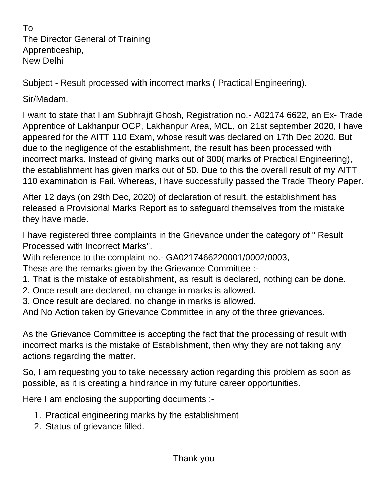To The Director General of Training Apprenticeship, New Delhi

Subject - Result processed with incorrect marks ( Practical Engineering).

Sir/Madam,

I want to state that I am Subhrajit Ghosh, Registration no.- A02174 6622, an Ex- Trade Apprentice of Lakhanpur OCP, Lakhanpur Area, MCL, on 21st september 2020, I have appeared for the AITT 110 Exam, whose result was declared on 17th Dec 2020. But due to the negligence of the establishment, the result has been processed with incorrect marks. Instead of giving marks out of 300( marks of Practical Engineering), the establishment has given marks out of 50. Due to this the overall result of my AITT 110 examination is Fail. Whereas, I have successfully passed the Trade Theory Paper.

After 12 days (on 29th Dec, 2020) of declaration of result, the establishment has released a Provisional Marks Report as to safeguard themselves from the mistake they have made.

I have registered three complaints in the Grievance under the category of " Result Processed with Incorrect Marks".

With reference to the complaint no.- GA0217466220001/0002/0003,

These are the remarks given by the Grievance Committee :-

- 1. That is the mistake of establishment, as result is declared, nothing can be done.
- 2. Once result are declared, no change in marks is allowed.
- 3. Once result are declared, no change in marks is allowed.

And No Action taken by Grievance Committee in any of the three grievances.

As the Grievance Committee is accepting the fact that the processing of result with incorrect marks is the mistake of Establishment, then why they are not taking any actions regarding the matter.

So, I am requesting you to take necessary action regarding this problem as soon as possible, as it is creating a hindrance in my future career opportunities.

Here I am enclosing the supporting documents :-

- 1. Practical engineering marks by the establishment
- 2. Status of grievance filled.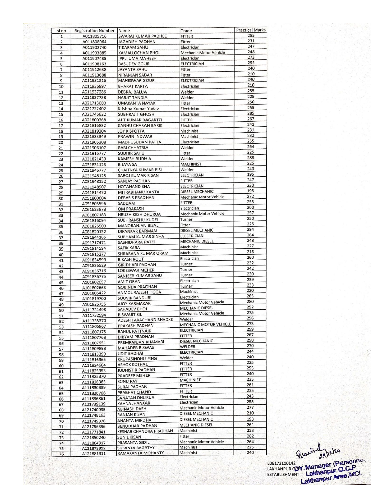| sl no          | Registration Number Name |                            | Trade                          | <b>Practical Marks</b> |
|----------------|--------------------------|----------------------------|--------------------------------|------------------------|
| 1              | A011805716               | SWARAJ KUMAR PADHEE        | <b>FITTER</b>                  | 255                    |
| $\overline{2}$ | A011808964               | <b>JAGADISH PADHAN</b>     | Fitter                         | 231                    |
| з              | A011902740               | <b>TIKARAM SAHU</b>        | Electrician                    | 247<br>248             |
| 4              | A011903885               | <b>KAMALLOCHAN BHOI</b>    | Mechanic Motor Vehicle         | 273                    |
| 5              | A011907435               | IPPLI UMA MAHESH           | Electrician                    | 255                    |
| 6              | A011908163               | <b>BASUDEV GOUR</b>        | <b>ELECTRICIAN</b>             | 240                    |
| 7              | A011912638               | <b>JAYANTA SAHU</b>        | Fitter                         | 210                    |
| 8              | A011913688               | NIRANJAN SABAR             | Fitter                         | 240                    |
| 9              | A011931516               | <b>MAHESWAR GOUR</b>       | <b>ELECTRICIAN</b>             | 210                    |
| 10             | A011936997               | <b>BHARAT KARTA</b>        | Electrician                    | 255                    |
| 11             | A011937286               | <b>DEBRAJ BALUA</b>        | Welder                         | 225                    |
| 12             | A011937738               | <b>HARJIT TANDIA</b>       | Welder                         | 250                    |
| 13             | A021713080               | <b>UMAKANTA NAYAK</b>      | Fitter                         | 255                    |
| 14             | A021722402               | Krishna Kumar Yadav        | Electrician                    | 285                    |
| 15             | A021746622               | <b>SUBHRAJIT GHOSH</b>     | Electrician                    | 267                    |
| 16             | A021800368               | AJIT KUMAR BAGARTTI        | <b>FITTER</b>                  | 242                    |
| 17             | A021816832               | KANHU CHARAN BARIK         | Electrician                    | 231                    |
| 18             | A021819304               | <b>JOY KISPOTTA</b>        | Machinist                      |                        |
| 19             | A021833349               | PRAWIN INDWAR              | Machinist                      | 232                    |
| 20             | A021905308               | MADHUSUDAN PATTA           | Electrician                    | 255                    |
| 21             | A021906107               | RABI CHHATRIA              | Welder                         | 264                    |
| 22             | A021916777               | <b>SUDHIR SAHU</b>         | Fitter                         | 225                    |
| 23             | A031821439               | <b>KAMESH BUDHIA</b>       | Welder                         | 288                    |
| 24             | A031831123               | <b>BIJAYA SA</b>           | <b>MACHINIST</b>               | 225                    |
| 25             | A031946777               | <b>CHAITNYA KUMAR BISI</b> | Welder                         | 240                    |
| 26             | A031948125               | <b>SAROJ KUMAR KISAN</b>   | <b>ELECTRICIAN</b>             | 195                    |
| 27             | A031948152               | <b>SANJAY PADHAN</b>       | <b>FITTER</b>                  | 247                    |
| 28             | A031948907               | <b>HOTANAND SHA</b>        | <b>ELECTRICIAN</b>             | 230                    |
| 29             | A041814470               | MITRABHANU KANTA           | DIESEL MECHANIC                | 195                    |
| 30             | A051800604               | <b>DEBASIS PRADHAN</b>     | Mechanic Motor Vehicle         | 272                    |
| 31             | A051803596               | SADDAM                     | <b>FITTER</b>                  | 255                    |
| 32             | A061623878               | <b>OM PRAKASH</b>          | Electrician                    | 260                    |
| 33             | A061807183               | <b>HRUSHIKESH DHURUA</b>   | Mechanic Motor Vehicle         | 257                    |
| 34             | A061816094               | SUBHRANSHU KUDEI           | Turner                         | 250                    |
| 35             | A061825500               | MANORANJAN BISAL           | Fitter                         | 225                    |
| 36             | A081820132               | DIPANKAR BARMAN            | DIESEL MECHANIC                | 294                    |
| 37             | A081844165               | SUBHAM KUMAR SINHA         | <b>ELECTRICIAN</b>             | 264                    |
| 38             | A091717471               | SASHIDHARA PATEL           | <b>MECHANIC DIESEL</b>         | 248                    |
| 39             | A091814594               | <b>SAFIK KARA</b>          | Machinist                      | 227                    |
| 40             | A091815277               | SHRABANA KUMAR ORAM        | Machinist                      | 216                    |
| 41             | A091834599               | <b>BIKASH ROUT</b>         | Electrician                    | 260                    |
| 42             | A091836529               | <b>GIRIDHARI PADHAN</b>    | Turner                         | 232                    |
| 43             | A091836716               | <b>LOKESWAR MEHER</b>      | Turner                         | 242                    |
| 44             | A091836775               | SANJEEB KUMAR SAHU         | Turner                         | 230                    |
| 45             | A101802057               | <b>AMIT ORAN</b>           | Electrician                    | 239                    |
|                | A101802663               | <b>GOBINDA PRADHAN</b>     | Turner                         | 233                    |
| 46             | A101805422               | ANMOL RAJESH TIGGA         | Machinist                      | 220                    |
| 47             | A101819700               | SOUVIK BANDURI             | Electrician                    | 265                    |
| 48             | A101826755               | <b>AJOY KARMAKAR</b>       | <b>Mechanic Motor Vehicle</b>  | 280                    |
| 49             |                          | <b>SAHADEV BHOI</b>        | <b>MECHANIC DIESEL</b>         | 252                    |
| 50             | A111731498               | <b>BISWAJIT SIL</b>        | Mechanic Motor Vehicle         | 275                    |
| 51             | A111732594               | ADESH TARACHAND BHADKE     | Welder                         | 256                    |
| 52             | A111735370               | PRAKASH PADHAN             | MECHANIC MOTOR VEHICLE         | 273                    |
| 53             | A111805867               | RAHUL PATTNAIK             | <b>ELECTRICIAN</b>             | 259                    |
| 54             | A111807175               | DIBYAM PRADHAN             | <b>FITTER</b>                  | 267                    |
| 55             | A111807768               | PREMRANJAN KHAMARI         | DIESEL MECHANIC                | 258                    |
| 56             | A111807951               |                            | WELDER                         | 270                    |
| 57             | A111809898               | <b>MAHADEB BISWAS</b>      | <b>ELECTRICIAN</b>             | 244                    |
| 58             | A111813399               | <b>UDIT BADHAI</b>         | Welder                         | 240                    |
| 59             | A111816365               | <b>KRUPASINDHU PING</b>    | <b>FITTER</b>                  | 225                    |
| 60             | A111824664               | <b>ASHOK KOTHAL</b>        | <b>FITTER</b>                  | 255                    |
| 61             | A111825353               | JUDHISTIR PADHAN           | <b>FITTER</b>                  | 240                    |
| 62             | A111825370               | PRADEEP MEHER              | <b>MACHINIST</b>               | 225                    |
| 63             | A111826383               | <b>SONU RAY</b>            |                                | 261                    |
| 64             | A111830339               | <b>SURAJ PADHAN</b>        | <b>FITTER</b><br><b>FITTER</b> | 225                    |
| 65             | A111836708               | PRABHAT CHAND              |                                | 243                    |
| 66             | A111836861               | SANATAN DHURUA             | Electrician                    |                        |
| 67             | A121739139               | KAHNA JHANKAR              | Electrician                    | 255                    |
| 68             | A121740995               | ABINASH DASH               | Mechanic Motor Vehicle         | 277                    |
| 69             | A121748163               | RANJAN KISAN               | DIESEL MECHANIC                | 210                    |
| 70             | A121749376               | ANANTA MIRDHA              | DIESEL MECHANIC                | 193                    |
| 71             | A121756396               | <b>BENUDHAR PADHAN</b>     | <b>MECHANIC DIESEL</b>         | 261                    |
| 72             | A121771841               | KESHAB CHANDRA PRADHAN     | Machinist                      | 223                    |
| 73             | A121850240               | SUNIL KISAN                | Fitter                         | 282                    |
| 74             | A121864917               | PRASANTA GIDILI            | Mechanic Motor Vehicle         | 264                    |
| 75             | A121879952               | <b>SUSANTA BAGRTHY</b>     | Machinist                      | 225                    |
| 76             | A121881911               | RAMAKANTA MOHANTY          | Machinist                      | 240                    |
|                |                          |                            |                                |                        |

EOSI72100142<br>LAKHANPUR COY Manager (Personner,